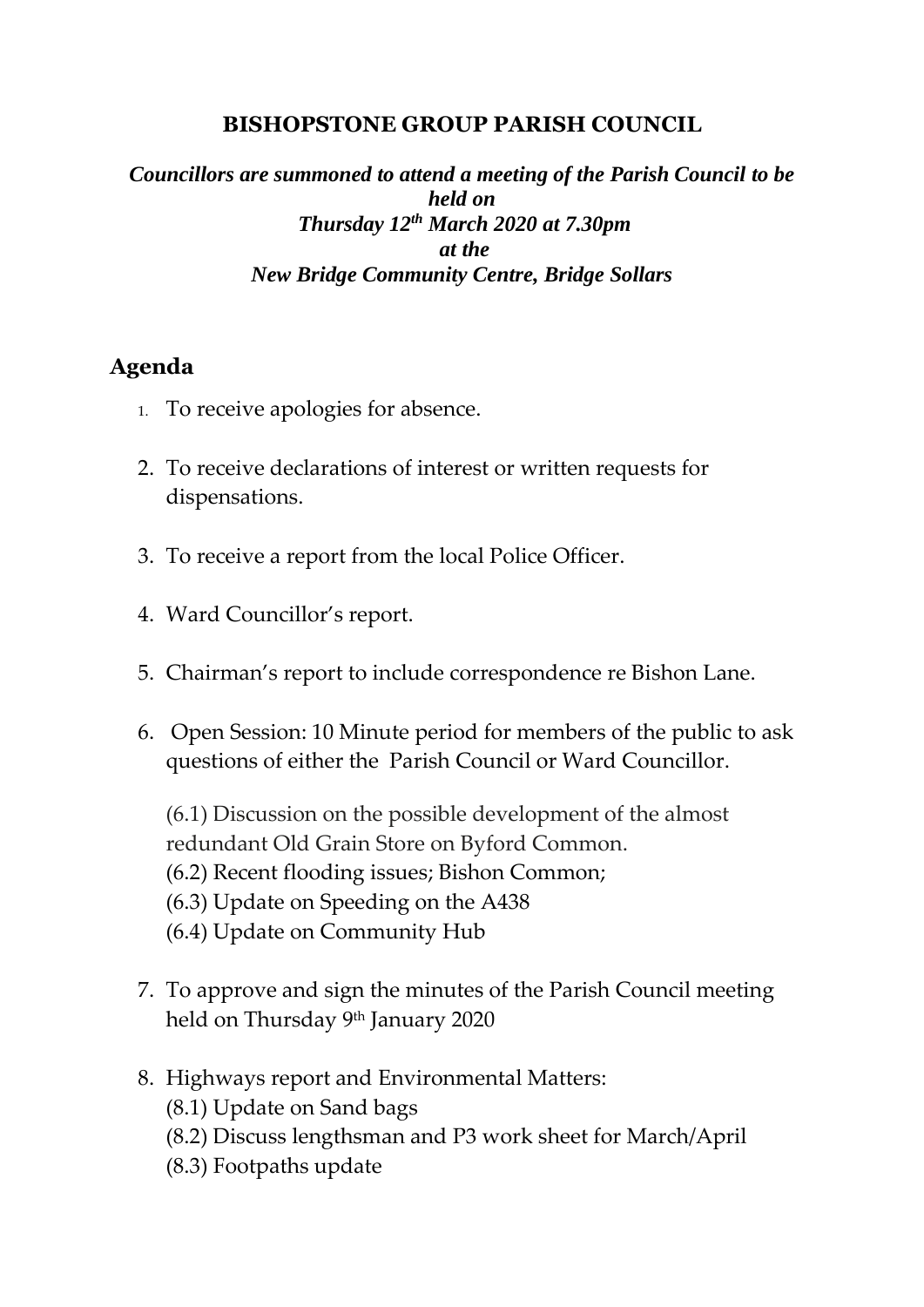## **BISHOPSTONE GROUP PARISH COUNCIL**

## *Councillors are summoned to attend a meeting of the Parish Council to be held on Thursday 12th March 2020 at 7.30pm at the New Bridge Community Centre, Bridge Sollars*

## **Agenda**

- 1. To receive apologies for absence.
- 2. To receive declarations of interest or written requests for dispensations.
- 3. To receive a report from the local Police Officer.
- 4. Ward Councillor's report.
- 5. Chairman's report to include correspondence re Bishon Lane.
- 6. Open Session: 10 Minute period for members of the public to ask questions of either the Parish Council or Ward Councillor.

(6.1) Discussion on the possible development of the almost redundant Old Grain Store on Byford Common. (6.2) Recent flooding issues; Bishon Common; (6.3) Update on Speeding on the A438 (6.4) Update on Community Hub

- 7. To approve and sign the minutes of the Parish Council meeting held on Thursday <sup>9th</sup> January 2020
- 8. Highways report and Environmental Matters:
	- (8.1) Update on Sand bags
	- (8.2) Discuss lengthsman and P3 work sheet for March/April
	- (8.3) Footpaths update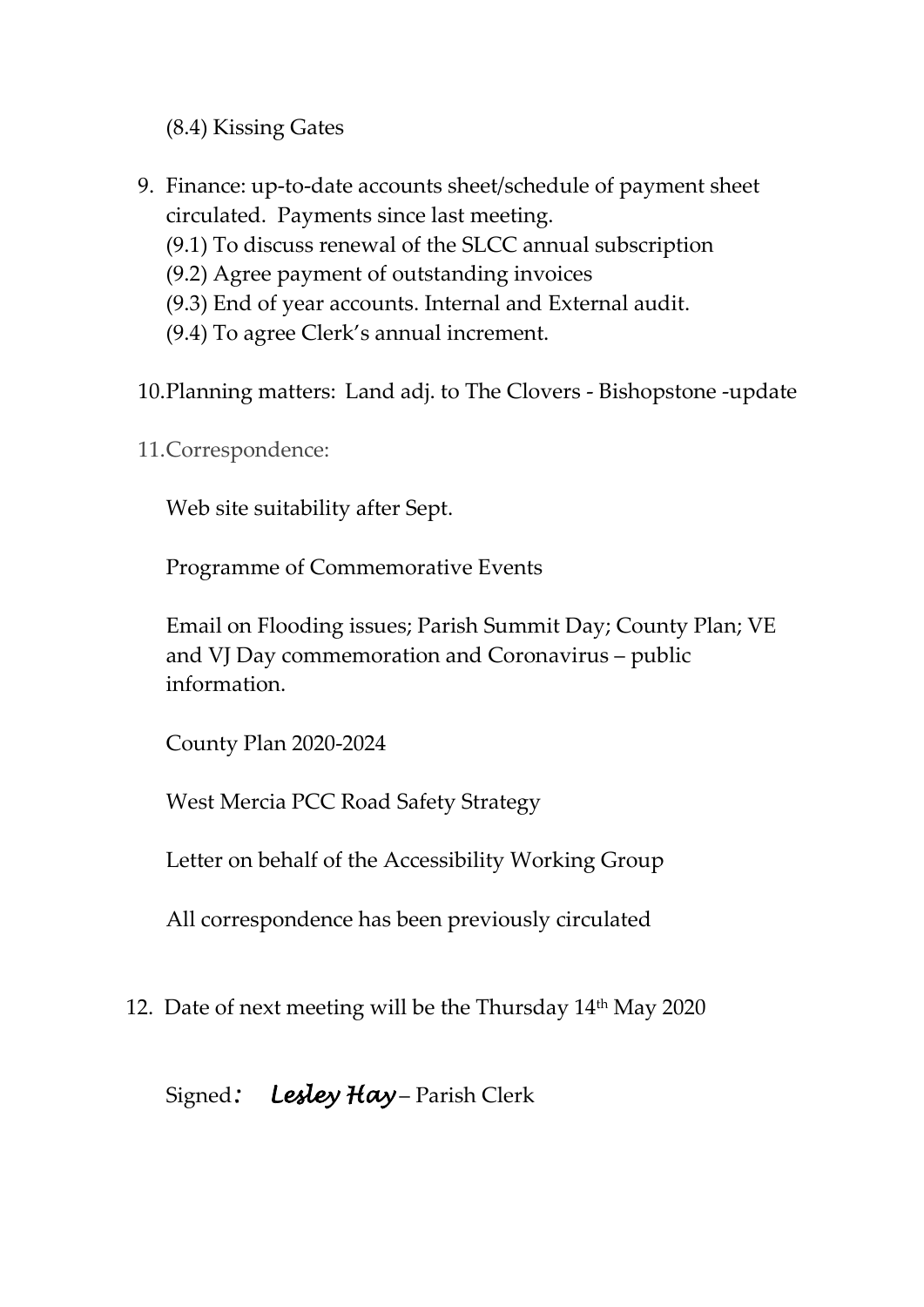(8.4) Kissing Gates

- 9. Finance: up-to-date accounts sheet/schedule of payment sheet circulated. Payments since last meeting.
	- (9.1) To discuss renewal of the SLCC annual subscription
	- (9.2) Agree payment of outstanding invoices
	- (9.3) End of year accounts. Internal and External audit.
	- (9.4) To agree Clerk's annual increment.
- 10.Planning matters: Land adj. to The Clovers Bishopstone -update
- 11.Correspondence:

Web site suitability after Sept.

Programme of Commemorative Events

Email on Flooding issues; Parish Summit Day; County Plan; VE and VJ Day commemoration and Coronavirus – public information.

County Plan 2020-2024

West Mercia PCC Road Safety Strategy

Letter on behalf of the Accessibility Working Group

All correspondence has been previously circulated

12. Date of next meeting will be the Thursday 14<sup>th</sup> May 2020

## Signed*: Lesley Hay* – Parish Clerk